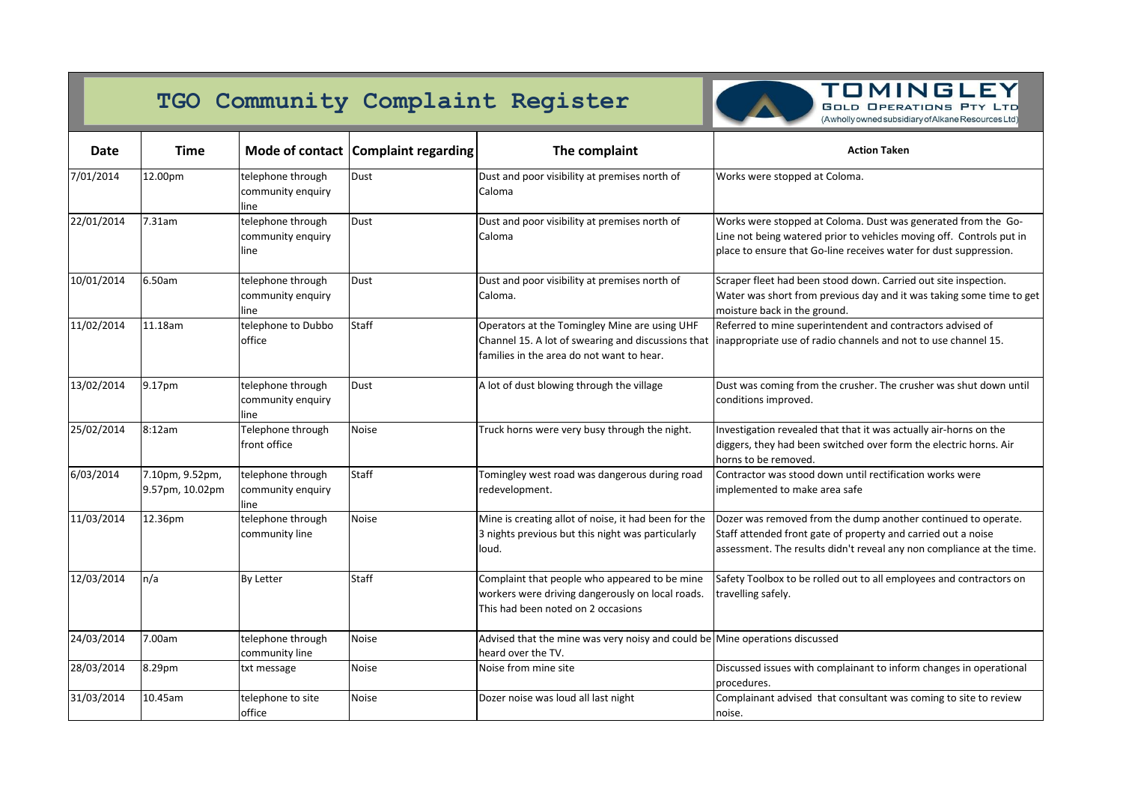

**TOMINGLEY GOLD OPERATIONS PTY LTD** (Awholly owned subsidiary of Alkane Resources Ltd)

| <b>Date</b> | <b>Time</b>                        |                                                | Mode of contact Complaint regarding | The complaint                                                                                                                                                | <b>Action Taken</b>                                                                                                                                                                                        |
|-------------|------------------------------------|------------------------------------------------|-------------------------------------|--------------------------------------------------------------------------------------------------------------------------------------------------------------|------------------------------------------------------------------------------------------------------------------------------------------------------------------------------------------------------------|
| 7/01/2014   | 12.00pm                            | telephone through<br>community enquiry<br>line | Dust                                | Dust and poor visibility at premises north of<br>Caloma                                                                                                      | Works were stopped at Coloma.                                                                                                                                                                              |
| 22/01/2014  | 7.31am                             | telephone through<br>community enquiry<br>line | Dust                                | Dust and poor visibility at premises north of<br>Caloma                                                                                                      | Works were stopped at Coloma. Dust was generated from the Go-<br>Line not being watered prior to vehicles moving off. Controls put in<br>place to ensure that Go-line receives water for dust suppression. |
| 10/01/2014  | 6.50am                             | telephone through<br>community enquiry<br>lıne | Dust                                | Dust and poor visibility at premises north of<br>Caloma.                                                                                                     | Scraper fleet had been stood down. Carried out site inspection.<br>Water was short from previous day and it was taking some time to get<br>moisture back in the ground.                                    |
| 11/02/2014  | 11.18am                            | telephone to Dubbo<br>office                   | <b>Staff</b>                        | Operators at the Tomingley Mine are using UHF<br>Channel 15. A lot of swearing and discussions that<br>families in the area do not want to hear.             | Referred to mine superintendent and contractors advised of<br>inappropriate use of radio channels and not to use channel 15.                                                                               |
| 13/02/2014  | 9.17pm                             | telephone through<br>community enquiry<br>line | Dust                                | A lot of dust blowing through the village                                                                                                                    | Dust was coming from the crusher. The crusher was shut down until<br>conditions improved.                                                                                                                  |
| 25/02/2014  | 8:12am                             | Telephone through<br>front office              | <b>Noise</b>                        | Truck horns were very busy through the night.                                                                                                                | Investigation revealed that that it was actually air-horns on the<br>diggers, they had been switched over form the electric horns. Air<br>horns to be removed.                                             |
| 6/03/2014   | 7.10pm, 9.52pm,<br>9.57pm, 10.02pm | telephone through<br>community enquiry<br>line | <b>Staff</b>                        | Tomingley west road was dangerous during road<br>redevelopment.                                                                                              | Contractor was stood down until rectification works were<br>implemented to make area safe                                                                                                                  |
| 11/03/2014  | 12.36pm                            | telephone through<br>community line            | <b>Noise</b>                        | Mine is creating allot of noise, it had been for the<br>3 nights previous but this night was particularly<br>loud.                                           | Dozer was removed from the dump another continued to operate.<br>Staff attended front gate of property and carried out a noise<br>assessment. The results didn't reveal any non compliance at the time.    |
| 12/03/2014  | n/a                                | <b>By Letter</b>                               | <b>Staff</b>                        | Complaint that people who appeared to be mine<br>workers were driving dangerously on local roads.   travelling safely.<br>This had been noted on 2 occasions | Safety Toolbox to be rolled out to all employees and contractors on                                                                                                                                        |
| 24/03/2014  | 7.00am                             | telephone through<br>community line            | Noise                               | Advised that the mine was very noisy and could be Mine operations discussed<br>heard over the TV.                                                            |                                                                                                                                                                                                            |
| 28/03/2014  | 8.29pm                             | txt message                                    | <b>Noise</b>                        | Noise from mine site                                                                                                                                         | Discussed issues with complainant to inform changes in operational<br>procedures.                                                                                                                          |
| 31/03/2014  | 10.45am                            | telephone to site<br>office                    | Noise                               | Dozer noise was loud all last night                                                                                                                          | Complainant advised that consultant was coming to site to review<br>noise.                                                                                                                                 |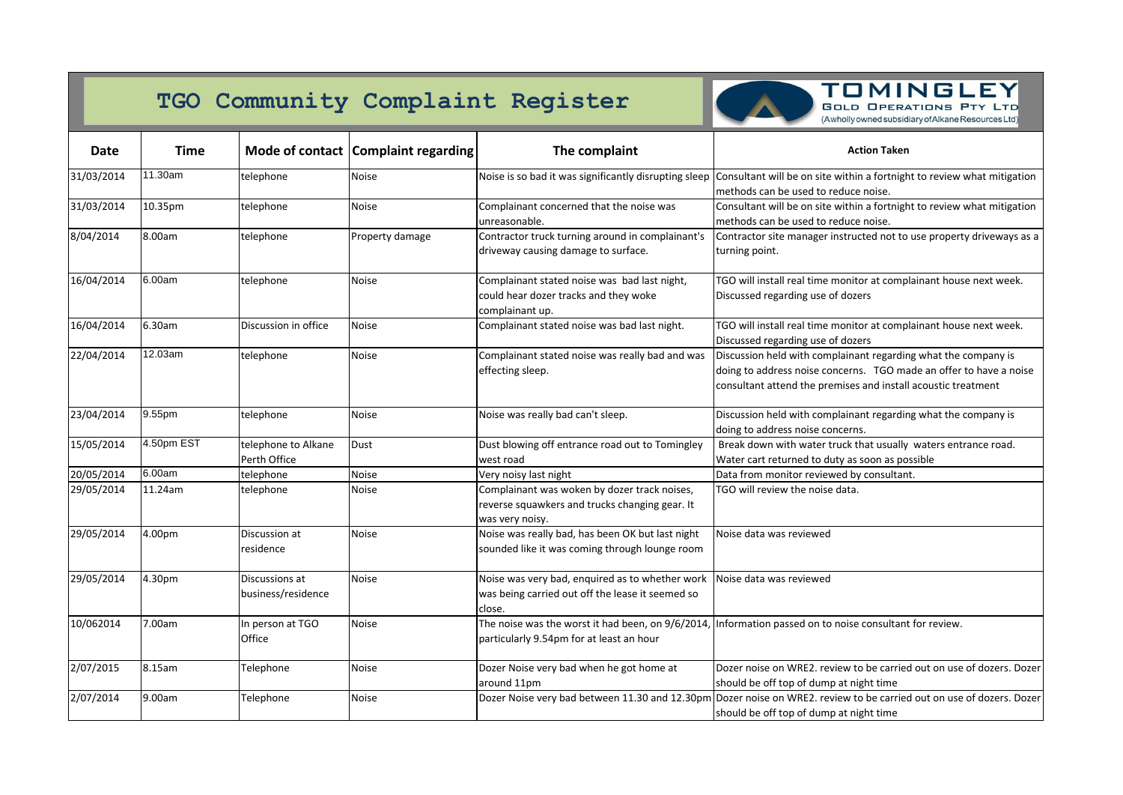

### **TOMINGLEY GOLD OPERATIONS PTY LTD**

(Awholly owned subsidiary of Alkane Resources Ltd)

| <b>Date</b> | <b>Time</b> |                                      | Mode of contact   Complaint regarding | The complaint                                                                                                                         | <b>Action Taken</b>                                                                                                                                                                                   |
|-------------|-------------|--------------------------------------|---------------------------------------|---------------------------------------------------------------------------------------------------------------------------------------|-------------------------------------------------------------------------------------------------------------------------------------------------------------------------------------------------------|
| 31/03/2014  | 11.30am     | telephone                            | <b>Noise</b>                          | Noise is so bad it was significantly disrupting sleep                                                                                 | Consultant will be on site within a fortnight to review what mitigation<br>methods can be used to reduce noise.                                                                                       |
| 31/03/2014  | 10.35pm     | telephone                            | <b>Noise</b>                          | Complainant concerned that the noise was<br>unreasonable.                                                                             | Consultant will be on site within a fortnight to review what mitigation<br>methods can be used to reduce noise.                                                                                       |
| 8/04/2014   | 8.00am      | telephone                            | Property damage                       | Contractor truck turning around in complainant's<br>driveway causing damage to surface.                                               | Contractor site manager instructed not to use property driveways as a<br>turning point.                                                                                                               |
| 16/04/2014  | 6.00am      | telephone                            | <b>Noise</b>                          | Complainant stated noise was bad last night,<br>could hear dozer tracks and they woke<br>complainant up.                              | TGO will install real time monitor at complainant house next week.<br>Discussed regarding use of dozers                                                                                               |
| 16/04/2014  | 6.30am      | Discussion in office                 | <b>Noise</b>                          | Complainant stated noise was bad last night.                                                                                          | TGO will install real time monitor at complainant house next week.<br>Discussed regarding use of dozers                                                                                               |
| 22/04/2014  | 12.03am     | telephone                            | <b>Noise</b>                          | Complainant stated noise was really bad and was<br>effecting sleep.                                                                   | Discussion held with complainant regarding what the company is<br>doing to address noise concerns. TGO made an offer to have a noise<br>consultant attend the premises and install acoustic treatment |
| 23/04/2014  | 9.55pm      | telephone                            | <b>Noise</b>                          | Noise was really bad can't sleep.                                                                                                     | Discussion held with complainant regarding what the company is<br>doing to address noise concerns.                                                                                                    |
| 15/05/2014  | 4.50pm EST  | telephone to Alkane<br>Perth Office  | <b>Dust</b>                           | Dust blowing off entrance road out to Tomingley<br>west road                                                                          | Break down with water truck that usually waters entrance road.<br>Water cart returned to duty as soon as possible                                                                                     |
| 20/05/2014  | 6.00am      | telephone                            | <b>Noise</b>                          | Very noisy last night                                                                                                                 | Data from monitor reviewed by consultant.                                                                                                                                                             |
| 29/05/2014  | 11.24am     | telephone                            | <b>Noise</b>                          | Complainant was woken by dozer track noises,<br>reverse squawkers and trucks changing gear. It<br>was very noisy.                     | TGO will review the noise data.                                                                                                                                                                       |
| 29/05/2014  | 4.00pm      | Discussion at<br>residence           | <b>Noise</b>                          | Noise was really bad, has been OK but last night<br>sounded like it was coming through lounge room                                    | Noise data was reviewed                                                                                                                                                                               |
| 29/05/2014  | 4.30pm      | Discussions at<br>business/residence | <b>Noise</b>                          | Noise was very bad, enquired as to whether work Noise data was reviewed<br>was being carried out off the lease it seemed so<br>close. |                                                                                                                                                                                                       |
| 10/062014   | 7.00am      | In person at TGO<br>Office           | <b>Noise</b>                          | The noise was the worst it had been, on 9/6/2014,<br>particularly 9.54pm for at least an hour                                         | , Information passed on to noise consultant for review.                                                                                                                                               |
| 2/07/2015   | 8.15am      | Telephone                            | <b>Noise</b>                          | Dozer Noise very bad when he got home at<br>around 11pm                                                                               | Dozer noise on WRE2. review to be carried out on use of dozers. Dozer<br>should be off top of dump at night time                                                                                      |
| 2/07/2014   | 9.00am      | Telephone                            | <b>Noise</b>                          |                                                                                                                                       | Dozer Noise very bad between 11.30 and 12.30pm Dozer noise on WRE2. review to be carried out on use of dozers. Dozer<br>should be off top of dump at night time                                       |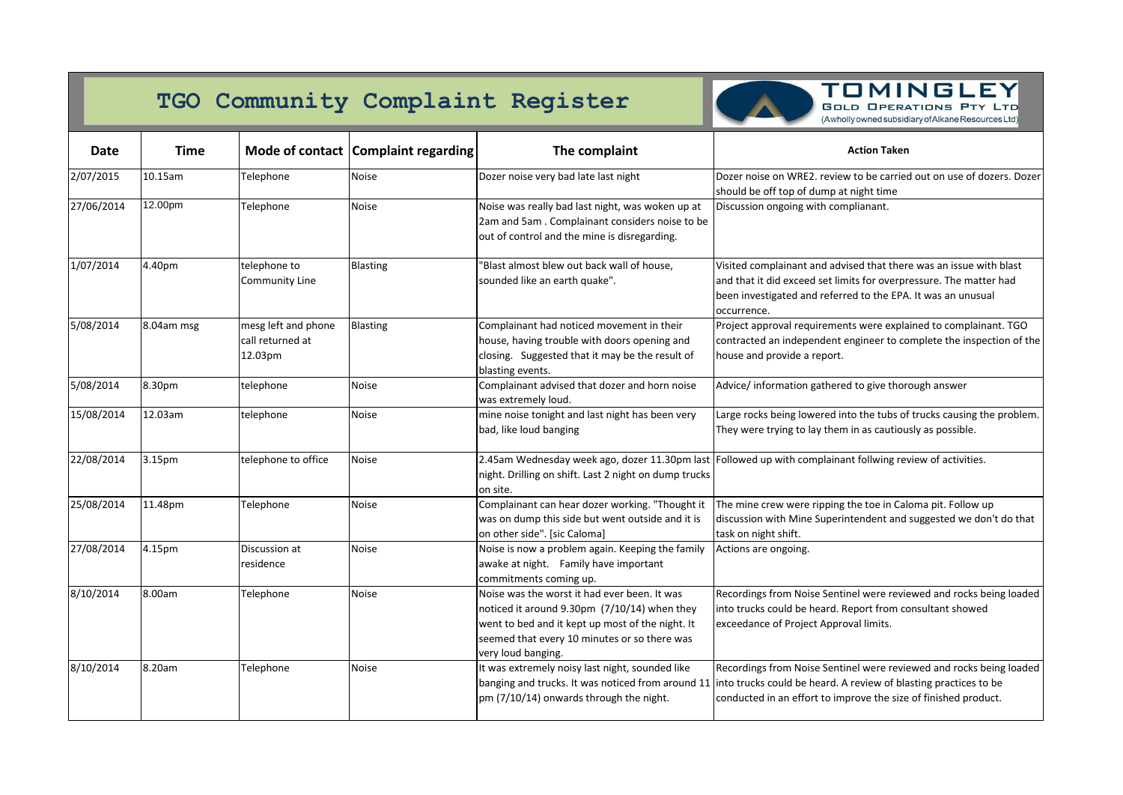

#### **TOMINGLEY GOLD OPERATIONS PTY LTD** (Awholly owned subsidiary of Alkane Resources Ltd)

| <b>Date</b> | <b>Time</b> |                                                    | Mode of contact   Complaint regarding | The complaint                                                                                                                                                                                                            | <b>Action Taken</b>                                                                                                                                                                                                     |
|-------------|-------------|----------------------------------------------------|---------------------------------------|--------------------------------------------------------------------------------------------------------------------------------------------------------------------------------------------------------------------------|-------------------------------------------------------------------------------------------------------------------------------------------------------------------------------------------------------------------------|
| 2/07/2015   | 10.15am     | Telephone                                          | <b>Noise</b>                          | Dozer noise very bad late last night                                                                                                                                                                                     | Dozer noise on WRE2. review to be carried out on use of dozers. Dozer<br>should be off top of dump at night time                                                                                                        |
| 27/06/2014  | 12.00pm     | Telephone                                          | <b>Noise</b>                          | Noise was really bad last night, was woken up at<br>2am and 5am. Complainant considers noise to be<br>out of control and the mine is disregarding.                                                                       | Discussion ongoing with complianant.                                                                                                                                                                                    |
| 1/07/2014   | 4.40pm      | telephone to<br><b>Community Line</b>              | Blasting                              | 'Blast almost blew out back wall of house,<br>sounded like an earth quake".                                                                                                                                              | Visited complainant and advised that there was an issue with blast<br>and that it did exceed set limits for overpressure. The matter had<br>been investigated and referred to the EPA. It was an unusual<br>occurrence. |
| 5/08/2014   | 8.04am msg  | mesg left and phone<br>call returned at<br>12.03pm | Blasting                              | Complainant had noticed movement in their<br>house, having trouble with doors opening and<br>closing. Suggested that it may be the result of<br>blasting events.                                                         | Project approval requirements were explained to complainant. TGO<br>contracted an independent engineer to complete the inspection of the<br>house and provide a report.                                                 |
| 5/08/2014   | 8.30pm      | telephone                                          | <b>Noise</b>                          | Complainant advised that dozer and horn noise<br>was extremely loud.                                                                                                                                                     | Advice/information gathered to give thorough answer                                                                                                                                                                     |
| 15/08/2014  | 12.03am     | telephone                                          | <b>Noise</b>                          | mine noise tonight and last night has been very<br>bad, like loud banging                                                                                                                                                | Large rocks being lowered into the tubs of trucks causing the problem.<br>They were trying to lay them in as cautiously as possible.                                                                                    |
| 22/08/2014  | 3.15pm      | telephone to office                                | Noise                                 | night. Drilling on shift. Last 2 night on dump trucks<br>on site.                                                                                                                                                        | 2.45am Wednesday week ago, dozer 11.30pm last Followed up with complainant follwing review of activities.                                                                                                               |
| 25/08/2014  | 11.48pm     | Telephone                                          | <b>Noise</b>                          | Complainant can hear dozer working. "Thought it<br>was on dump this side but went outside and it is<br>on other side". [sic Caloma]                                                                                      | The mine crew were ripping the toe in Caloma pit. Follow up<br>discussion with Mine Superintendent and suggested we don't do that<br>task on night shift.                                                               |
| 27/08/2014  | 4.15pm      | Discussion at<br>residence                         | <b>Noise</b>                          | Noise is now a problem again. Keeping the family<br>awake at night. Family have important<br>commitments coming up.                                                                                                      | Actions are ongoing.                                                                                                                                                                                                    |
| 8/10/2014   | 8.00am      | Telephone                                          | Noise                                 | Noise was the worst it had ever been. It was<br>noticed it around 9.30pm $(7/10/14)$ when they<br>went to bed and it kept up most of the night. It<br>seemed that every 10 minutes or so there was<br>very loud banging. | Recordings from Noise Sentinel were reviewed and rocks being loaded<br>into trucks could be heard. Report from consultant showed<br>exceedance of Project Approval limits.                                              |
| 8/10/2014   | 8.20am      | Telephone                                          | Noise                                 | It was extremely noisy last night, sounded like<br>banging and trucks. It was noticed from around 11<br>pm (7/10/14) onwards through the night.                                                                          | Recordings from Noise Sentinel were reviewed and rocks being loaded<br>into trucks could be heard. A review of blasting practices to be<br>conducted in an effort to improve the size of finished product.              |